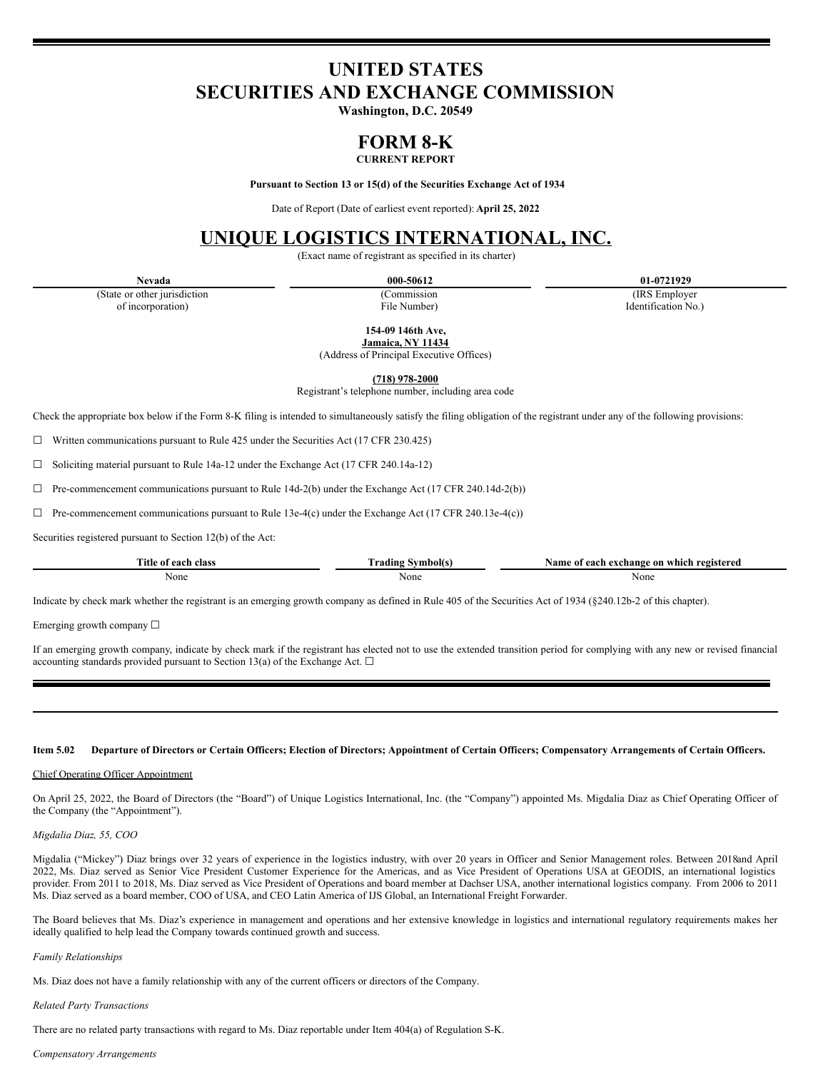# **UNITED STATES SECURITIES AND EXCHANGE COMMISSION**

**Washington, D.C. 20549**

# **FORM 8-K**

## **CURRENT REPORT**

**Pursuant to Section 13 or 15(d) of the Securities Exchange Act of 1934**

Date of Report (Date of earliest event reported): **April 25, 2022**

## **UNIQUE LOGISTICS INTERNATIONAL, INC.**

(Exact name of registrant as specified in its charter)

(State or other jurisdiction of incorporation)

(Commission File Number)

**Nevada 000-50612 01-0721929**

(IRS Employer Identification No.)

**154-09 146th Ave,**

**Jamaica, NY 11434**

(Address of Principal Executive Offices)

**(718) 978-2000**

Registrant's telephone number, including area code

Check the appropriate box below if the Form 8-K filing is intended to simultaneously satisfy the filing obligation of the registrant under any of the following provisions:

 $\Box$  Written communications pursuant to Rule 425 under the Securities Act (17 CFR 230.425)

☐ Soliciting material pursuant to Rule 14a-12 under the Exchange Act (17 CFR 240.14a-12)

 $\Box$  Pre-commencement communications pursuant to Rule 14d-2(b) under the Exchange Act (17 CFR 240.14d-2(b))

 $\Box$  Pre-commencement communications pursuant to Rule 13e-4(c) under the Exchange Act (17 CFR 240.13e-4(c))

Securities registered pursuant to Section 12(b) of the Act:

| FIRST CA<br>`itle<br>class<br>each<br>വ<br>-214 | <b><i>COMMENT</i></b><br><b>CONTRACT</b> | : or<br>exchange<br>registered<br>vame<br>each<br>-which-<br>-01 |
|-------------------------------------------------|------------------------------------------|------------------------------------------------------------------|
| None                                            | None                                     | None                                                             |

Indicate by check mark whether the registrant is an emerging growth company as defined in Rule 405 of the Securities Act of 1934 (§240.12b-2 of this chapter).

Emerging growth company ☐

If an emerging growth company, indicate by check mark if the registrant has elected not to use the extended transition period for complying with any new or revised financial accounting standards provided pursuant to Section 13(a) of the Exchange Act.  $\square$ 

## Item 5.02 Departure of Directors or Certain Officers; Election of Directors; Appointment of Certain Officers; Compensatory Arrangements of Certain Officers.

#### Chief Operating Officer Appointment

On April 25, 2022, the Board of Directors (the "Board") of Unique Logistics International, Inc. (the "Company") appointed Ms. Migdalia Diaz as Chief Operating Officer of the Company (the "Appointment").

## *Migdalia Diaz, 55, COO*

Migdalia ("Mickey") Diaz brings over 32 years of experience in the logistics industry, with over 20 years in Officer and Senior Management roles. Between 2018and April 2022, Ms. Diaz served as Senior Vice President Customer Experience for the Americas, and as Vice President of Operations USA at GEODIS, an international logistics provider. From 2011 to 2018, Ms. Diaz served as Vice President of Operations and board member at Dachser USA, another international logistics company. From 2006 to 2011 Ms. Diaz served as a board member, COO of USA, and CEO Latin America of IJS Global, an International Freight Forwarder.

The Board believes that Ms. Diaz's experience in management and operations and her extensive knowledge in logistics and international regulatory requirements makes her ideally qualified to help lead the Company towards continued growth and success.

#### *Family Relationships*

Ms. Diaz does not have a family relationship with any of the current officers or directors of the Company.

## *Related Party Transactions*

There are no related party transactions with regard to Ms. Diaz reportable under Item 404(a) of Regulation S-K.

#### *Compensatory Arrangements*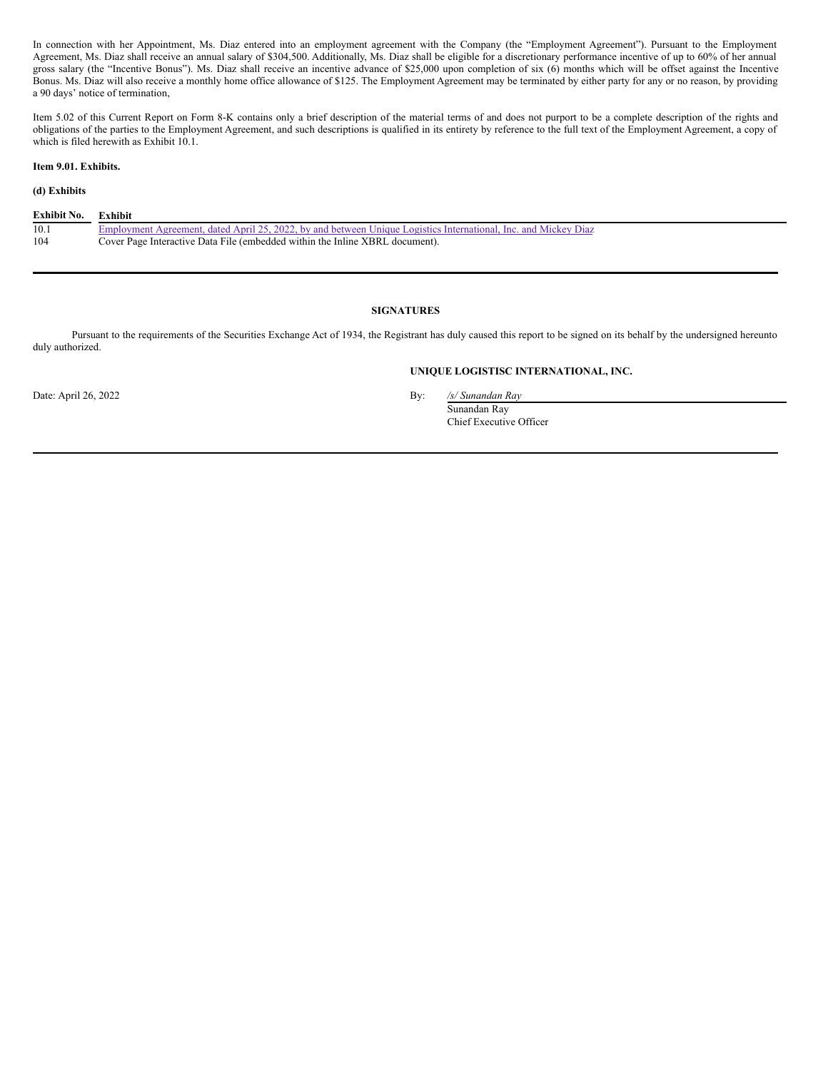In connection with her Appointment, Ms. Diaz entered into an employment agreement with the Company (the "Employment Agreement"). Pursuant to the Employment Agreement, Ms. Diaz shall receive an annual salary of \$304,500. Additionally, Ms. Diaz shall be eligible for a discretionary performance incentive of up to 60% of her annual gross salary (the "Incentive Bonus"). Ms. Diaz shall receive an incentive advance of \$25,000 upon completion of six (6) months which will be offset against the Incentive Bonus. Ms. Diaz will also receive a monthly home office allowance of \$125. The Employment Agreement may be terminated by either party for any or no reason, by providing a 90 days' notice of termination,

Item 5.02 of this Current Report on Form 8-K contains only a brief description of the material terms of and does not purport to be a complete description of the rights and obligations of the parties to the Employment Agreement, and such descriptions is qualified in its entirety by reference to the full text of the Employment Agreement, a copy of which is filed herewith as Exhibit 10.1.

## **Item 9.01. Exhibits.**

## **(d) Exhibits**

| Exhibit No. | <b>Exhibit</b>                                                                                                  |
|-------------|-----------------------------------------------------------------------------------------------------------------|
| 10.1        | Employment Agreement, dated April 25, 2022, by and between Unique Logistics International, Inc. and Mickey Diaz |
| 104         | Cover Page Interactive Data File (embedded within the Inline XBRL document).                                    |

## **SIGNATURES**

Pursuant to the requirements of the Securities Exchange Act of 1934, the Registrant has duly caused this report to be signed on its behalf by the undersigned hereunto duly authorized.

## **UNIQUE LOGISTISC INTERNATIONAL, INC.**

Date: April 26, 2022 By: */s/ Sunandan Ray*

Sunandan Ray Chief Executive Officer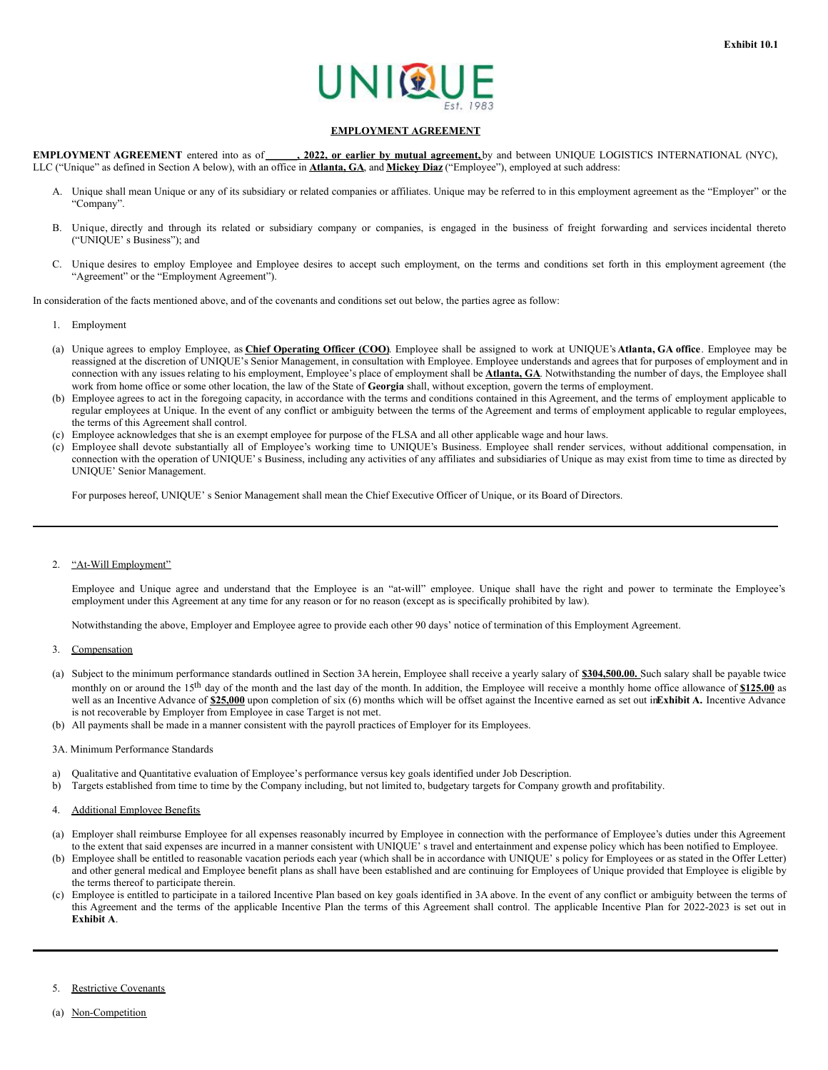

## **EMPLOYMENT AGREEMENT**

**EMPLOYMENT AGREEMENT** entered into as of \_\_\_\_\_\_**, 2022, or earlier by mutual agreement,** by and between UNIQUE LOGISTICS INTERNATIONAL (NYC), LLC ("Unique" as defined in Section A below), with an office in **Atlanta, GA**, and **Mickey Diaz** ("Employee"), employed at such address:

- A. Unique shall mean Unique or any of its subsidiary or related companies or affiliates. Unique may be referred to in this employment agreement as the "Employer" or the "Company".
- B. Unique, directly and through its related or subsidiary company or companies, is engaged in the business of freight forwarding and services incidental thereto ("UNIQUE' s Business"); and
- C. Unique desires to employ Employee and Employee desires to accept such employment, on the terms and conditions set forth in this employment agreement (the "Agreement" or the "Employment Agreement").

In consideration of the facts mentioned above, and of the covenants and conditions set out below, the parties agree as follow:

- 1. Employment
- (a) Unique agrees to employ Employee, as **Chief Operating Officer (COO)**. Employee shall be assigned to work at UNIQUE's **Atlanta, GA office**. Employee may be reassigned at the discretion of UNIQUE's Senior Management, in consultation with Employee. Employee understands and agrees that for purposes of employment and in connection with any issues relating to his employment, Employee's place of employment shall be **Atlanta, GA**. Notwithstanding the number of days, the Employee shall work from home office or some other location, the law of the State of **Georgia** shall, without exception, govern the terms of employment.
- (b) Employee agrees to act in the foregoing capacity, in accordance with the terms and conditions contained in this Agreement, and the terms of employment applicable to regular employees at Unique. In the event of any conflict or ambiguity between the terms of the Agreement and terms of employment applicable to regular employees, the terms of this Agreement shall control.
- (c) Employee acknowledges that she is an exempt employee for purpose of the FLSA and all other applicable wage and hour laws.
- (c) Employee shall devote substantially all of Employee's working time to UNIQUE's Business. Employee shall render services, without additional compensation, in connection with the operation of UNIQUE's Business, including any activities of any affiliates and subsidiaries of Unique as may exist from time to time as directed by UNIQUE' Senior Management.

For purposes hereof, UNIQUE' s Senior Management shall mean the Chief Executive Officer of Unique, or its Board of Directors.

## 2. "At-Will Employment"

Employee and Unique agree and understand that the Employee is an "at-will" employee. Unique shall have the right and power to terminate the Employee's employment under this Agreement at any time for any reason or for no reason (except as is specifically prohibited by law).

Notwithstanding the above, Employer and Employee agree to provide each other 90 days' notice of termination of this Employment Agreement.

- 3. Compensation
- (a) Subject to the minimum performance standards outlined in Section 3A herein, Employee shall receive a yearly salary of **\$304,500.00.** Such salary shall be payable twice monthly on or around the 15<sup>th</sup> day of the month and the last day of the month. In addition, the Employee will receive a monthly home office allowance of **\$125.00** as well as an Incentive Advance of \$25,000 upon completion of six (6) months which will be offset against the Incentive earned as set out inExhibit A. Incentive Advance is not recoverable by Employer from Employee in case Target is not met.
- (b) All payments shall be made in a manner consistent with the payroll practices of Employer for its Employees.
- 3A. Minimum Performance Standards
- a) Qualitative and Quantitative evaluation of Employee's performance versus key goals identified under Job Description.
- b) Targets established from time to time by the Company including, but not limited to, budgetary targets for Company growth and profitability.

## 4. Additional Employee Benefits

- (a) Employer shall reimburse Employee for all expenses reasonably incurred by Employee in connection with the performance of Employee's duties under this Agreement to the extent that said expenses are incurred in a manner consistent with UNIQUE' s travel and entertainment and expense policy which has been notified to Employee.
- (b) Employee shall be entitled to reasonable vacation periods each year (which shall be in accordance with UNIQUE' s policy for Employees or as stated in the Offer Letter) and other general medical and Employee benefit plans as shall have been established and are continuing for Employees of Unique provided that Employee is eligible by the terms thereof to participate therein.
- (c) Employee is entitled to participate in a tailored Incentive Plan based on key goals identified in 3A above. In the event of any conflict or ambiguity between the terms of this Agreement and the terms of the applicable Incentive Plan the terms of this Agreement shall control. The applicable Incentive Plan for 2022-2023 is set out in **Exhibit A**.
- 5. Restrictive Covenants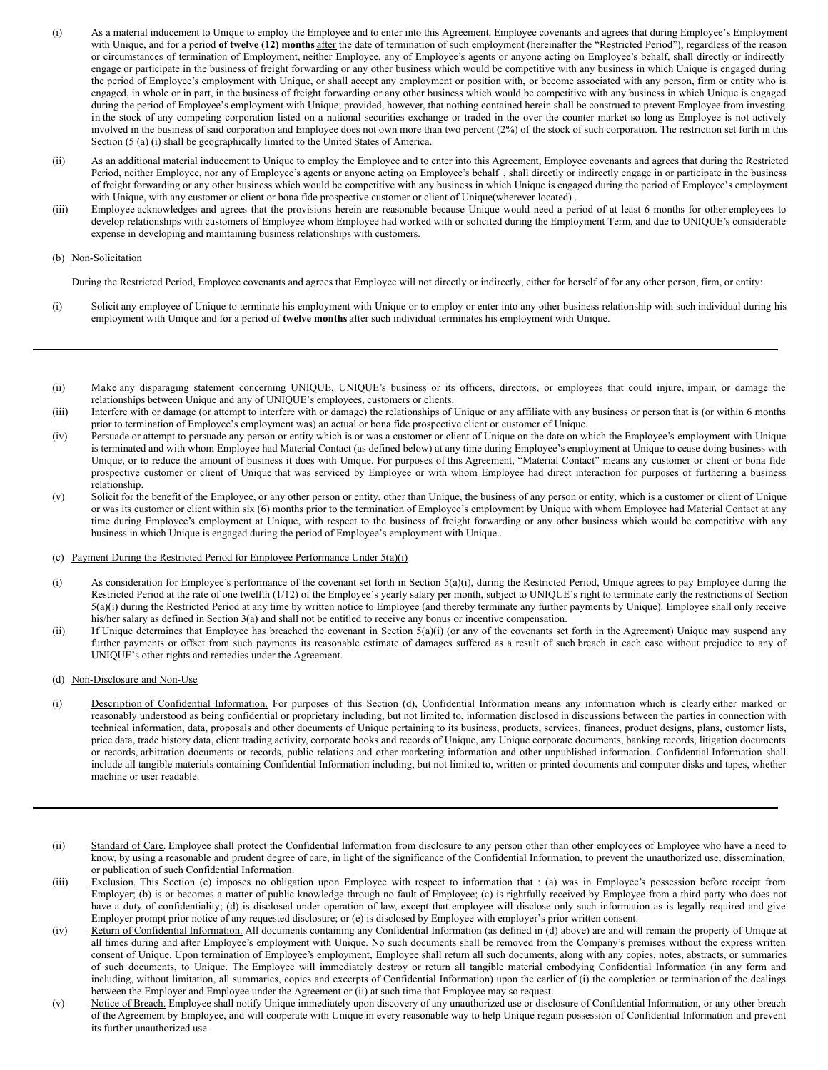- <span id="page-3-0"></span>(i) As a material inducement to Unique to employ the Employee and to enter into this Agreement, Employee covenants and agrees that during Employee's Employment with Unique, and for a period of twelve (12) months after the date of termination of such employment (hereinafter the "Restricted Period"), regardless of the reason or circumstances of termination of Employment, neither Employee, any of Employee's agents or anyone acting on Employee's behalf, shall directly or indirectly engage or participate in the business of freight forwarding or any other business which would be competitive with any business in which Unique is engaged during the period of Employee's employment with Unique, or shall accept any employment or position with, or become associated with any person, firm or entity who is engaged, in whole or in part, in the business of freight forwarding or any other business which would be competitive with any business in which Unique is engaged during the period of Employee's employment with Unique; provided, however, that nothing contained herein shall be construed to prevent Employee from investing in the stock of any competing corporation listed on a national securities exchange or traded in the over the counter market so long as Employee is not actively involved in the business of said corporation and Employee does not own more than two percent (2%) of the stock of such corporation. The restriction set forth in this Section (5 (a) (i) shall be geographically limited to the United States of America.
- (ii) As an additional material inducement to Unique to employ the Employee and to enter into this Agreement, Employee covenants and agrees that during the Restricted Period, neither Employee, nor any of Employee's agents or anyone acting on Employee's behalf , shall directly or indirectly engage in or participate in the business of freight forwarding or any other business which would be competitive with any business in which Unique is engaged during the period of Employee's employment with Unique, with any customer or client or bona fide prospective customer or client of Unique(wherever located).
- (iii) Employee acknowledges and agrees that the provisions herein are reasonable because Unique would need a period of at least 6 months for other employees to develop relationships with customers of Employee whom Employee had worked with or solicited during the Employment Term, and due to UNIQUE's considerable expense in developing and maintaining business relationships with customers.

## (b) Non-Solicitation

During the Restricted Period, Employee covenants and agrees that Employee will not directly or indirectly, either for herself of for any other person, firm, or entity:

- (i) Solicit any employee of Unique to terminate his employment with Unique or to employ or enter into any other business relationship with such individual during his employment with Unique and for a period of **twelve months** after such individual terminates his employment with Unique.
- (ii) Make any disparaging statement concerning UNIQUE, UNIQUE's business or its officers, directors, or employees that could injure, impair, or damage the relationships between Unique and any of UNIQUE's employees, customers or clients.
- (iii) Interfere with or damage (or attempt to interfere with or damage) the relationships of Unique or any affiliate with any business or person that is (or within 6 months prior to termination of Employee's employment was) an actual or bona fide prospective client or customer of Unique.
- (iv) Persuade or attempt to persuade any person or entity which is or was a customer or client of Unique on the date on which the Employee's employment with Unique is terminated and with whom Employee had Material Contact (as defined below) at any time during Employee's employment at Unique to cease doing business with Unique, or to reduce the amount of business it does with Unique. For purposes of this Agreement, "Material Contact" means any customer or client or bona fide prospective customer or client of Unique that was serviced by Employee or with whom Employee had direct interaction for purposes of furthering a business relationship.
- (v) Solicit for the benefit of the Employee, or any other person or entity, other than Unique, the business of any person or entity, which is a customer or client of Unique or was its customer or client within six (6) months prior to the termination of Employee's employment by Unique with whom Employee had Material Contact at any time during Employee's employment at Unique, with respect to the business of freight forwarding or any other business which would be competitive with any business in which Unique is engaged during the period of Employee's employment with Unique..

## (c) Payment During the Restricted Period for Employee Performance Under 5(a)(i)

- (i) As consideration for Employee's performance of the covenant set forth in Section 5(a)(i), during the Restricted Period, Unique agrees to pay Employee during the Restricted Period at the rate of one twelfth (1/12) of the Employee's yearly salary per month, subject to UNIQUE's right to terminate early the restrictions of Section 5(a)(i) during the Restricted Period at any time by written notice to Employee (and thereby terminate any further payments by Unique). Employee shall only receive his/her salary as defined in Section 3(a) and shall not be entitled to receive any bonus or incentive compensation.
- (ii) If Unique determines that Employee has breached the covenant in Section 5(a)(i) (or any of the covenants set forth in the Agreement) Unique may suspend any further payments or offset from such payments its reasonable estimate of damages suffered as a result of such breach in each case without prejudice to any of UNIQUE's other rights and remedies under the Agreement.
- (d) Non-Disclosure and Non-Use
- (i) Description of Confidential Information. For purposes of this Section (d), Confidential Information means any information which is clearly either marked or reasonably understood as being confidential or proprietary including, but not limited to, information disclosed in discussions between the parties in connection with technical information, data, proposals and other documents of Unique pertaining to its business, products, services, finances, product designs, plans, customer lists, price data, trade history data, client trading activity, corporate books and records of Unique, any Unique corporate documents, banking records, litigation documents or records, arbitration documents or records, public relations and other marketing information and other unpublished information. Confidential Information shall include all tangible materials containing Confidential Information including, but not limited to, written or printed documents and computer disks and tapes, whether machine or user readable.
- (ii) Standard of Care. Employee shall protect the Confidential Information from disclosure to any person other than other employees of Employee who have a need to know, by using a reasonable and prudent degree of care, in light of the significance of the Confidential Information, to prevent the unauthorized use, dissemination, or publication of such Confidential Information.
- (iii) Exclusion. This Section (c) imposes no obligation upon Employee with respect to information that : (a) was in Employee's possession before receipt from Employer; (b) is or becomes a matter of public knowledge through no fault of Employee; (c) is rightfully received by Employee from a third party who does not have a duty of confidentiality; (d) is disclosed under operation of law, except that employee will disclose only such information as is legally required and give Employer prompt prior notice of any requested disclosure; or (e) is disclosed by Employee with employer's prior written consent.
- (iv) Return of Confidential Information. All documents containing any Confidential Information (as defined in (d) above) are and will remain the property of Unique at all times during and after Employee's employment with Unique. No such documents shall be removed from the Company's premises without the express written consent of Unique. Upon termination of Employee's employment, Employee shall return all such documents, along with any copies, notes, abstracts, or summaries of such documents, to Unique. The Employee will immediately destroy or return all tangible material embodying Confidential Information (in any form and including, without limitation, all summaries, copies and excerpts of Confidential Information) upon the earlier of (i) the completion or termination of the dealings between the Employer and Employee under the Agreement or (ii) at such time that Employee may so request.
- (v) Notice of Breach. Employee shall notify Unique immediately upon discovery of any unauthorized use or disclosure of Confidential Information, or any other breach of the Agreement by Employee, and will cooperate with Unique in every reasonable way to help Unique regain possession of Confidential Information and prevent its further unauthorized use.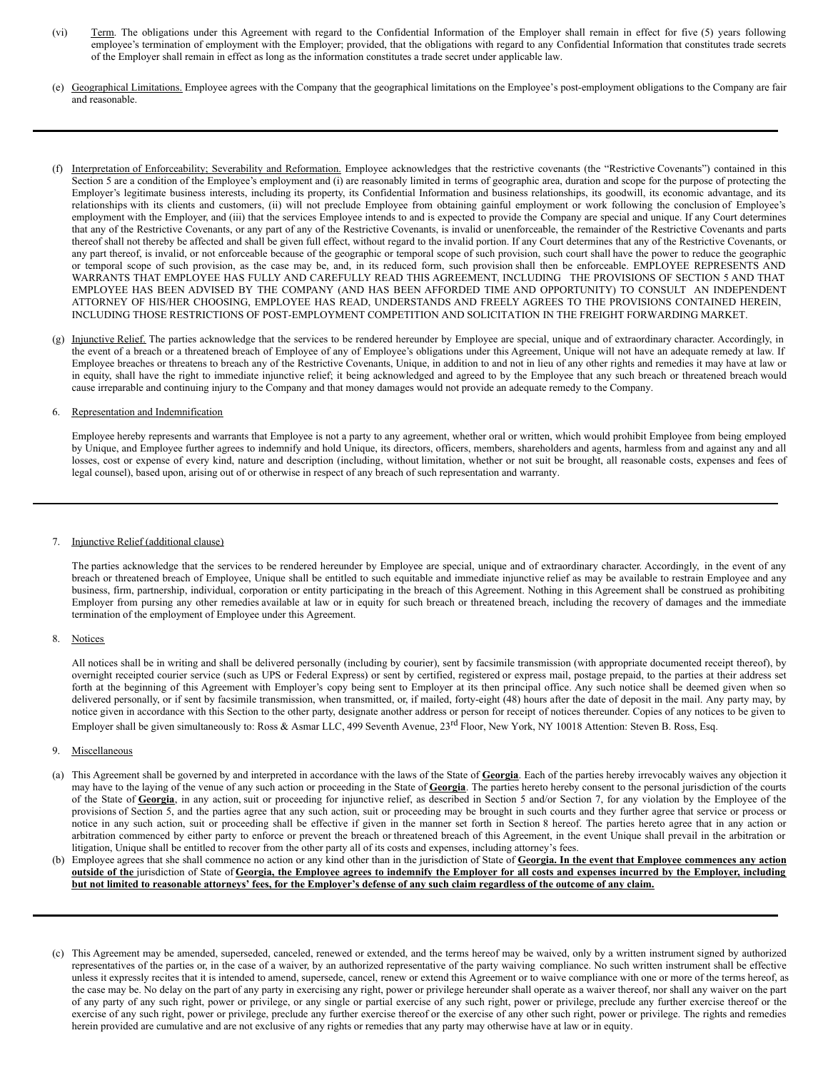- (vi) Term. The obligations under this Agreement with regard to the Confidential Information of the Employer shall remain in effect for five (5) years following employee's termination of employment with the Employer; provided, that the obligations with regard to any Confidential Information that constitutes trade secrets of the Employer shall remain in effect as long as the information constitutes a trade secret under applicable law.
- (e) Geographical Limitations. Employee agrees with the Company that the geographical limitations on the Employee's post-employment obligations to the Company are fair and reasonable.
- (f) Interpretation of Enforceability; Severability and Reformation. Employee acknowledges that the restrictive covenants (the "Restrictive Covenants") contained in this Section 5 are a condition of the Employee's employment and (i) are reasonably limited in terms of geographic area, duration and scope for the purpose of protecting the Employer's legitimate business interests, including its property, its Confidential Information and business relationships, its goodwill, its economic advantage, and its relationships with its clients and customers, (ii) will not preclude Employee from obtaining gainful employment or work following the conclusion of Employee's employment with the Employer, and (iii) that the services Employee intends to and is expected to provide the Company are special and unique. If any Court determines that any of the Restrictive Covenants, or any part of any of the Restrictive Covenants, is invalid or unenforceable, the remainder of the Restrictive Covenants and parts thereof shall not thereby be affected and shall be given full effect, without regard to the invalid portion. If any Court determines that any of the Restrictive Covenants, or any part thereof, is invalid, or not enforceable because of the geographic or temporal scope of such provision, such court shall have the power to reduce the geographic or temporal scope of such provision, as the case may be, and, in its reduced form, such provision shall then be enforceable. EMPLOYEE REPRESENTS AND WARRANTS THAT EMPLOYEE HAS FULLY AND CAREFULLY READ THIS AGREEMENT, INCLUDING THE PROVISIONS OF SECTION 5 AND THAT EMPLOYEE HAS BEEN ADVISED BY THE COMPANY (AND HAS BEEN AFFORDED TIME AND OPPORTUNITY) TO CONSULT AN INDEPENDENT ATTORNEY OF HIS/HER CHOOSING, EMPLOYEE HAS READ, UNDERSTANDS AND FREELY AGREES TO THE PROVISIONS CONTAINED HEREIN, INCLUDING THOSE RESTRICTIONS OF POST-EMPLOYMENT COMPETITION AND SOLICITATION IN THE FREIGHT FORWARDING MARKET.
- (g) Injunctive Relief. The parties acknowledge that the services to be rendered hereunder by Employee are special, unique and of extraordinary character. Accordingly, in the event of a breach or a threatened breach of Employee of any of Employee's obligations under this Agreement, Unique will not have an adequate remedy at law. If Employee breaches or threatens to breach any of the Restrictive Covenants, Unique, in addition to and not in lieu of any other rights and remedies it may have at law or in equity, shall have the right to immediate injunctive relief; it being acknowledged and agreed to by the Employee that any such breach or threatened breach would cause irreparable and continuing injury to the Company and that money damages would not provide an adequate remedy to the Company.

## 6. Representation and Indemnification

Employee hereby represents and warrants that Employee is not a party to any agreement, whether oral or written, which would prohibit Employee from being employed by Unique, and Employee further agrees to indemnify and hold Unique, its directors, officers, members, shareholders and agents, harmless from and against any and all losses, cost or expense of every kind, nature and description (including, without limitation, whether or not suit be brought, all reasonable costs, expenses and fees of legal counsel), based upon, arising out of or otherwise in respect of any breach of such representation and warranty.

## 7. Injunctive Relief (additional clause)

The parties acknowledge that the services to be rendered hereunder by Employee are special, unique and of extraordinary character. Accordingly, in the event of any breach or threatened breach of Employee, Unique shall be entitled to such equitable and immediate injunctive relief as may be available to restrain Employee and any business, firm, partnership, individual, corporation or entity participating in the breach of this Agreement. Nothing in this Agreement shall be construed as prohibiting Employer from pursing any other remedies available at law or in equity for such breach or threatened breach, including the recovery of damages and the immediate termination of the employment of Employee under this Agreement.

## 8. Notices

All notices shall be in writing and shall be delivered personally (including by courier), sent by facsimile transmission (with appropriate documented receipt thereof), by overnight receipted courier service (such as UPS or Federal Express) or sent by certified, registered or express mail, postage prepaid, to the parties at their address set forth at the beginning of this Agreement with Employer's copy being sent to Employer at its then principal office. Any such notice shall be deemed given when so delivered personally, or if sent by facsimile transmission, when transmitted, or, if mailed, forty-eight (48) hours after the date of deposit in the mail. Any party may, by notice given in accordance with this Section to the other party, designate another address or person for receipt of notices thereunder. Copies of any notices to be given to Employer shall be given simultaneously to: Ross & Asmar LLC, 499 Seventh Avenue, 23<sup>rd</sup> Floor, New York, NY 10018 Attention: Steven B. Ross, Esq.

## 9. Miscellaneous

- (a) This Agreement shall be governed by and interpreted in accordance with the laws of the State of **Georgia**. Each of the parties hereby irrevocably waives any objection it may have to the laying of the venue of any such action or proceeding in the State of **Georgia**. The parties hereto hereby consent to the personal jurisdiction of the courts of the State of **Georgia**, in any action, suit or proceeding for injunctive relief, as described in Section 5 and/or Section 7, for any violation by the Employee of the provisions of Section 5, and the parties agree that any such action, suit or proceeding may be brought in such courts and they further agree that service or process or notice in any such action, suit or proceeding shall be effective if given in the manner set forth in Section 8 hereof. The parties hereto agree that in any action or arbitration commenced by either party to enforce or prevent the breach or threatened breach of this Agreement, in the event Unique shall prevail in the arbitration or litigation, Unique shall be entitled to recover from the other party all of its costs and expenses, including attorney's fees.
- (b) Employee agrees that she shall commence no action or any kind other than in the jurisdiction of State of Georgia. In the event that Employee commences any action outside of the jurisdiction of State of Georgia, the Employee agrees to indemnify the Employer for all costs and expenses incurred by the Employer, including but not limited to reasonable attorneys' fees, for the Employer's defense of any such claim regardless of the outcome of any claim.
- (c) This Agreement may be amended, superseded, canceled, renewed or extended, and the terms hereof may be waived, only by a written instrument signed by authorized representatives of the parties or, in the case of a waiver, by an authorized representative of the party waiving compliance. No such written instrument shall be effective unless it expressly recites that it is intended to amend, supersede, cancel, renew or extend this Agreement or to waive compliance with one or more of the terms hereof, as the case may be. No delay on the part of any party in exercising any right, power or privilege hereunder shall operate as a waiver thereof, nor shall any waiver on the part of any party of any such right, power or privilege, or any single or partial exercise of any such right, power or privilege, preclude any further exercise thereof or the exercise of any such right, power or privilege, preclude any further exercise thereof or the exercise of any other such right, power or privilege. The rights and remedies herein provided are cumulative and are not exclusive of any rights or remedies that any party may otherwise have at law or in equity.